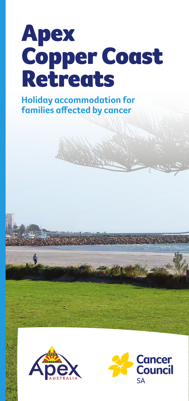## Apex Copper Coast **Retreats**

**Holiday accommodation for families affected by cancer**